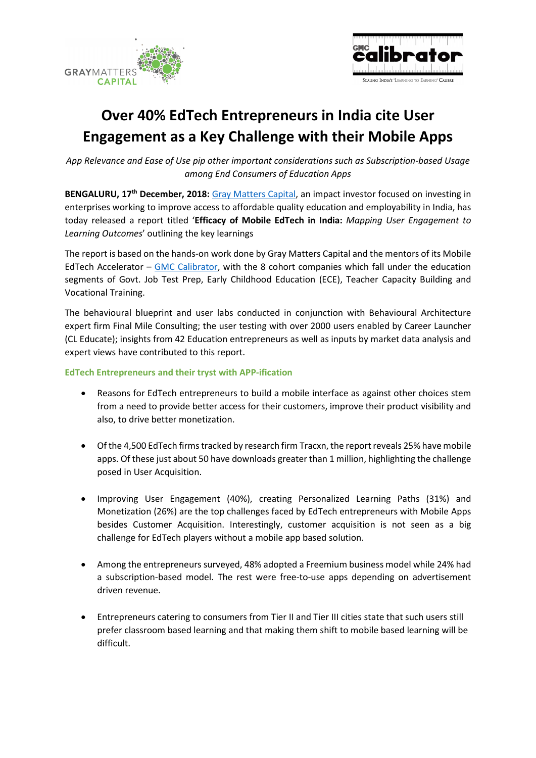



# Over 40% EdTech Entrepreneurs in India cite User Engagement as a Key Challenge with their Mobile Apps

App Relevance and Ease of Use pip other important considerations such as Subscription-based Usage among End Consumers of Education Apps

BENGALURU, 17<sup>th</sup> December, 2018: Gray Matters Capital, an impact investor focused on investing in enterprises working to improve access to affordable quality education and employability in India, has today released a report titled 'Efficacy of Mobile EdTech in India: Mapping User Engagement to Learning Outcomes' outlining the key learnings

The report is based on the hands-on work done by Gray Matters Capital and the mentors of its Mobile EdTech Accelerator – GMC Calibrator, with the 8 cohort companies which fall under the education segments of Govt. Job Test Prep, Early Childhood Education (ECE), Teacher Capacity Building and Vocational Training.

The behavioural blueprint and user labs conducted in conjunction with Behavioural Architecture expert firm Final Mile Consulting; the user testing with over 2000 users enabled by Career Launcher (CL Educate); insights from 42 Education entrepreneurs as well as inputs by market data analysis and expert views have contributed to this report.

### EdTech Entrepreneurs and their tryst with APP-ification

- Reasons for EdTech entrepreneurs to build a mobile interface as against other choices stem from a need to provide better access for their customers, improve their product visibility and also, to drive better monetization.
- Of the 4,500 EdTech firms tracked by research firm Tracxn, the report reveals 25% have mobile apps. Of these just about 50 have downloads greater than 1 million, highlighting the challenge posed in User Acquisition.
- Improving User Engagement (40%), creating Personalized Learning Paths (31%) and Monetization (26%) are the top challenges faced by EdTech entrepreneurs with Mobile Apps besides Customer Acquisition. Interestingly, customer acquisition is not seen as a big challenge for EdTech players without a mobile app based solution.
- Among the entrepreneurs surveyed, 48% adopted a Freemium business model while 24% had a subscription-based model. The rest were free-to-use apps depending on advertisement driven revenue.
- Entrepreneurs catering to consumers from Tier II and Tier III cities state that such users still prefer classroom based learning and that making them shift to mobile based learning will be difficult.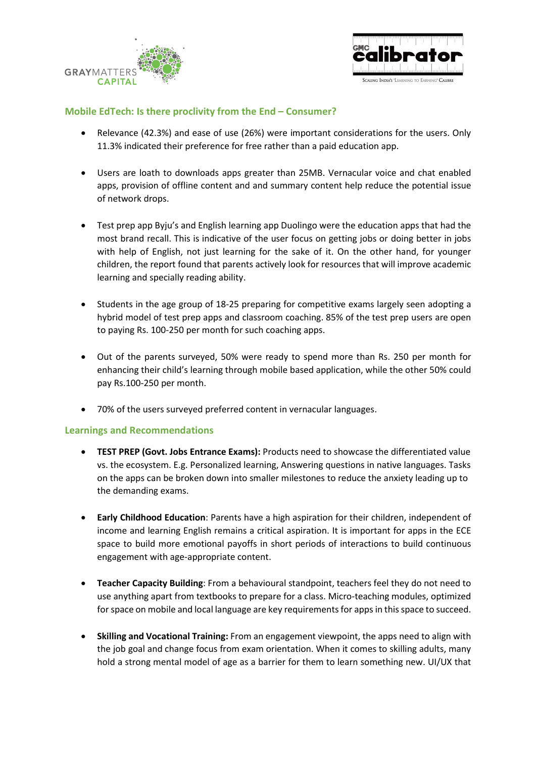



## Mobile EdTech: Is there proclivity from the End – Consumer?

- Relevance (42.3%) and ease of use (26%) were important considerations for the users. Only 11.3% indicated their preference for free rather than a paid education app.
- Users are loath to downloads apps greater than 25MB. Vernacular voice and chat enabled apps, provision of offline content and and summary content help reduce the potential issue of network drops.
- Test prep app Byju's and English learning app Duolingo were the education apps that had the most brand recall. This is indicative of the user focus on getting jobs or doing better in jobs with help of English, not just learning for the sake of it. On the other hand, for younger children, the report found that parents actively look for resources that will improve academic learning and specially reading ability.
- Students in the age group of 18-25 preparing for competitive exams largely seen adopting a hybrid model of test prep apps and classroom coaching. 85% of the test prep users are open to paying Rs. 100-250 per month for such coaching apps.
- Out of the parents surveyed, 50% were ready to spend more than Rs. 250 per month for enhancing their child's learning through mobile based application, while the other 50% could pay Rs.100-250 per month.
- 70% of the users surveyed preferred content in vernacular languages.

### Learnings and Recommendations

- TEST PREP (Govt. Jobs Entrance Exams): Products need to showcase the differentiated value vs. the ecosystem. E.g. Personalized learning, Answering questions in native languages. Tasks on the apps can be broken down into smaller milestones to reduce the anxiety leading up to the demanding exams.
- Early Childhood Education: Parents have a high aspiration for their children, independent of income and learning English remains a critical aspiration. It is important for apps in the ECE space to build more emotional payoffs in short periods of interactions to build continuous engagement with age-appropriate content.
- Teacher Capacity Building: From a behavioural standpoint, teachers feel they do not need to use anything apart from textbooks to prepare for a class. Micro-teaching modules, optimized for space on mobile and local language are key requirements for apps in this space to succeed.
- Skilling and Vocational Training: From an engagement viewpoint, the apps need to align with the job goal and change focus from exam orientation. When it comes to skilling adults, many hold a strong mental model of age as a barrier for them to learn something new. UI/UX that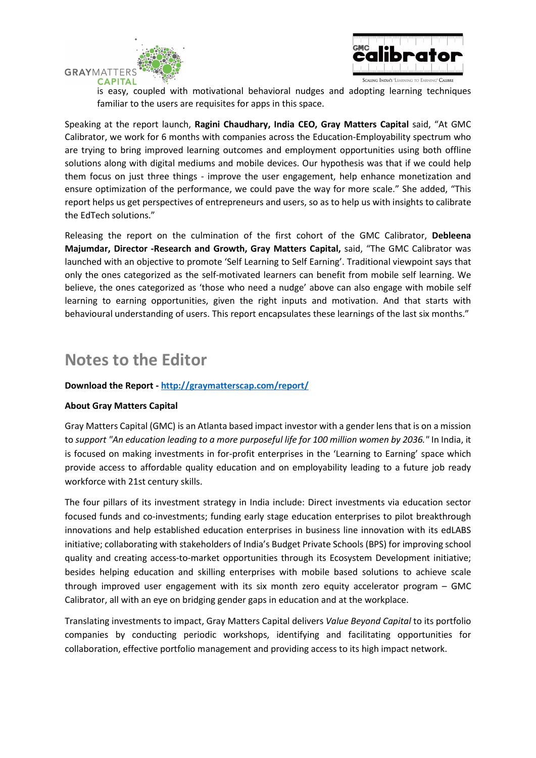



is easy, coupled with motivational behavioral nudges and adopting learning techniques familiar to the users are requisites for apps in this space.

Speaking at the report launch, Ragini Chaudhary, India CEO, Gray Matters Capital said, "At GMC Calibrator, we work for 6 months with companies across the Education-Employability spectrum who are trying to bring improved learning outcomes and employment opportunities using both offline solutions along with digital mediums and mobile devices. Our hypothesis was that if we could help them focus on just three things - improve the user engagement, help enhance monetization and ensure optimization of the performance, we could pave the way for more scale." She added, "This report helps us get perspectives of entrepreneurs and users, so as to help us with insights to calibrate the EdTech solutions."

Releasing the report on the culmination of the first cohort of the GMC Calibrator, Debleena Majumdar, Director -Research and Growth, Gray Matters Capital, said, "The GMC Calibrator was launched with an objective to promote 'Self Learning to Self Earning'. Traditional viewpoint says that only the ones categorized as the self-motivated learners can benefit from mobile self learning. We believe, the ones categorized as 'those who need a nudge' above can also engage with mobile self learning to earning opportunities, given the right inputs and motivation. And that starts with behavioural understanding of users. This report encapsulates these learnings of the last six months."

# Notes to the Editor

# Download the Report - http://graymatterscap.com/report/

### About Gray Matters Capital

Gray Matters Capital (GMC) is an Atlanta based impact investor with a gender lens that is on a mission to support "An education leading to a more purposeful life for 100 million women by 2036." In India, it is focused on making investments in for-profit enterprises in the 'Learning to Earning' space which provide access to affordable quality education and on employability leading to a future job ready workforce with 21st century skills.

The four pillars of its investment strategy in India include: Direct investments via education sector focused funds and co-investments; funding early stage education enterprises to pilot breakthrough innovations and help established education enterprises in business line innovation with its edLABS initiative; collaborating with stakeholders of India's Budget Private Schools (BPS) for improving school quality and creating access-to-market opportunities through its Ecosystem Development initiative; besides helping education and skilling enterprises with mobile based solutions to achieve scale through improved user engagement with its six month zero equity accelerator program – GMC Calibrator, all with an eye on bridging gender gaps in education and at the workplace.

Translating investments to impact, Gray Matters Capital delivers Value Beyond Capital to its portfolio companies by conducting periodic workshops, identifying and facilitating opportunities for collaboration, effective portfolio management and providing access to its high impact network.